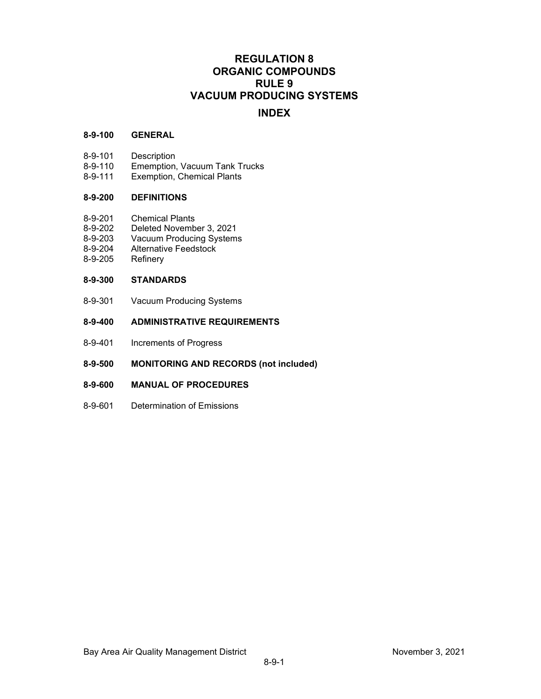# **REGULATION 8 ORGANIC COMPOUNDS RULE 9 VACUUM PRODUCING SYSTEMS**

# **INDEX**

## **8-9-100 GENERAL**

- 8-9-101 Description<br>8-9-110 Ememption.
- 8-9-110 Ememption, Vacuum Tank Trucks<br>8-9-111 Exemption, Chemical Plants
- Exemption, Chemical Plants

# **8-9-200 DEFINITIONS**

- 8-9-201 Chemical Plants<br>8-9-202 Deleted Novemb
- 8-9-202 Deleted November 3, 2021<br>8-9-203 Vacuum Producing System
- 8-9-203 Vacuum Producing Systems<br>8-9-204 Alternative Feedstock
- Alternative Feedstock
- 8-9-205 Refinery

# **8-9-300 STANDARDS**

8-9-301 Vacuum Producing Systems

# **8-9-400 ADMINISTRATIVE REQUIREMENTS**

- 8-9-401 Increments of Progress
- **8-9-500 MONITORING AND RECORDS (not included)**
- **8-9-600 MANUAL OF PROCEDURES**
- 8-9-601 Determination of Emissions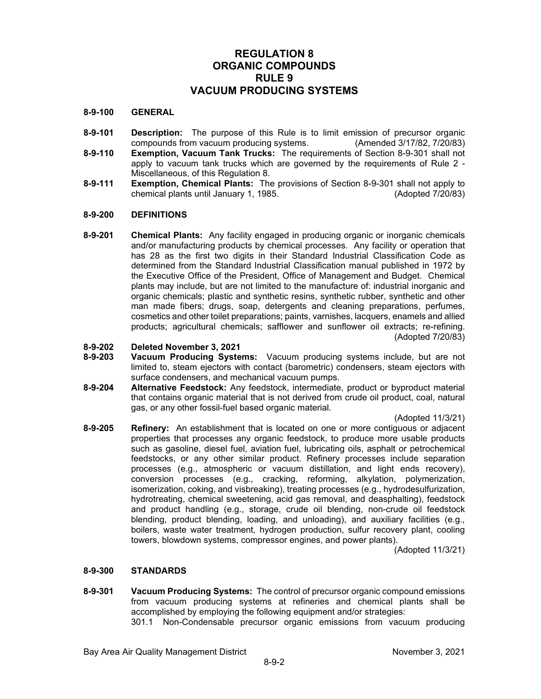# **REGULATION 8 ORGANIC COMPOUNDS RULE 9 VACUUM PRODUCING SYSTEMS**

#### **8-9-100 GENERAL**

- **8-9-101 Description:** The purpose of this Rule is to limit emission of precursor organic compounds from vacuum producing systems. (Amended 3/17/82, 7/20/83)
- **8-9-110 Exemption, Vacuum Tank Trucks:** The requirements of Section 8-9-301 shall not apply to vacuum tank trucks which are governed by the requirements of Rule 2 - Miscellaneous, of this Regulation 8.
- **8-9-111 Exemption, Chemical Plants:** The provisions of Section 8-9-301 shall not apply to chemical plants until January 1, 1985.

#### **8-9-200 DEFINITIONS**

**8-9-201 Chemical Plants:** Any facility engaged in producing organic or inorganic chemicals and/or manufacturing products by chemical processes. Any facility or operation that has 28 as the first two digits in their Standard Industrial Classification Code as determined from the Standard Industrial Classification manual published in 1972 by the Executive Office of the President, Office of Management and Budget. Chemical plants may include, but are not limited to the manufacture of: industrial inorganic and organic chemicals; plastic and synthetic resins, synthetic rubber, synthetic and other man made fibers; drugs, soap, detergents and cleaning preparations, perfumes, cosmetics and other toilet preparations; paints, varnishes, lacquers, enamels and allied products; agricultural chemicals; safflower and sunflower oil extracts; re-refining. (Adopted 7/20/83)

# **8-9-202 Deleted November 3, 2021**

- **8-9-203 Vacuum Producing Systems:** Vacuum producing systems include, but are not limited to, steam ejectors with contact (barometric) condensers, steam ejectors with surface condensers, and mechanical vacuum pumps.
- **8-9-204 Alternative Feedstock:** Any feedstock, intermediate, product or byproduct material that contains organic material that is not derived from crude oil product, coal, natural gas, or any other fossil-fuel based organic material.

(Adopted 11/3/21)

**8-9-205 Refinery:** An establishment that is located on one or more contiguous or adjacent properties that processes any organic feedstock, to produce more usable products such as gasoline, diesel fuel, aviation fuel, lubricating oils, asphalt or petrochemical feedstocks, or any other similar product. Refinery processes include separation processes (e.g., atmospheric or vacuum distillation, and light ends recovery), conversion processes (e.g., cracking, reforming, alkylation, polymerization, isomerization, coking, and visbreaking), treating processes (e.g., hydrodesulfurization, hydrotreating, chemical sweetening, acid gas removal, and deasphalting), feedstock and product handling (e.g., storage, crude oil blending, non-crude oil feedstock blending, product blending, loading, and unloading), and auxiliary facilities (e.g., boilers, waste water treatment, hydrogen production, sulfur recovery plant, cooling towers, blowdown systems, compressor engines, and power plants).

(Adopted 11/3/21)

## **8-9-300 STANDARDS**

**8-9-301 Vacuum Producing Systems:** The control of precursor organic compound emissions from vacuum producing systems at refineries and chemical plants shall be accomplished by employing the following equipment and/or strategies:

301.1 Non-Condensable precursor organic emissions from vacuum producing